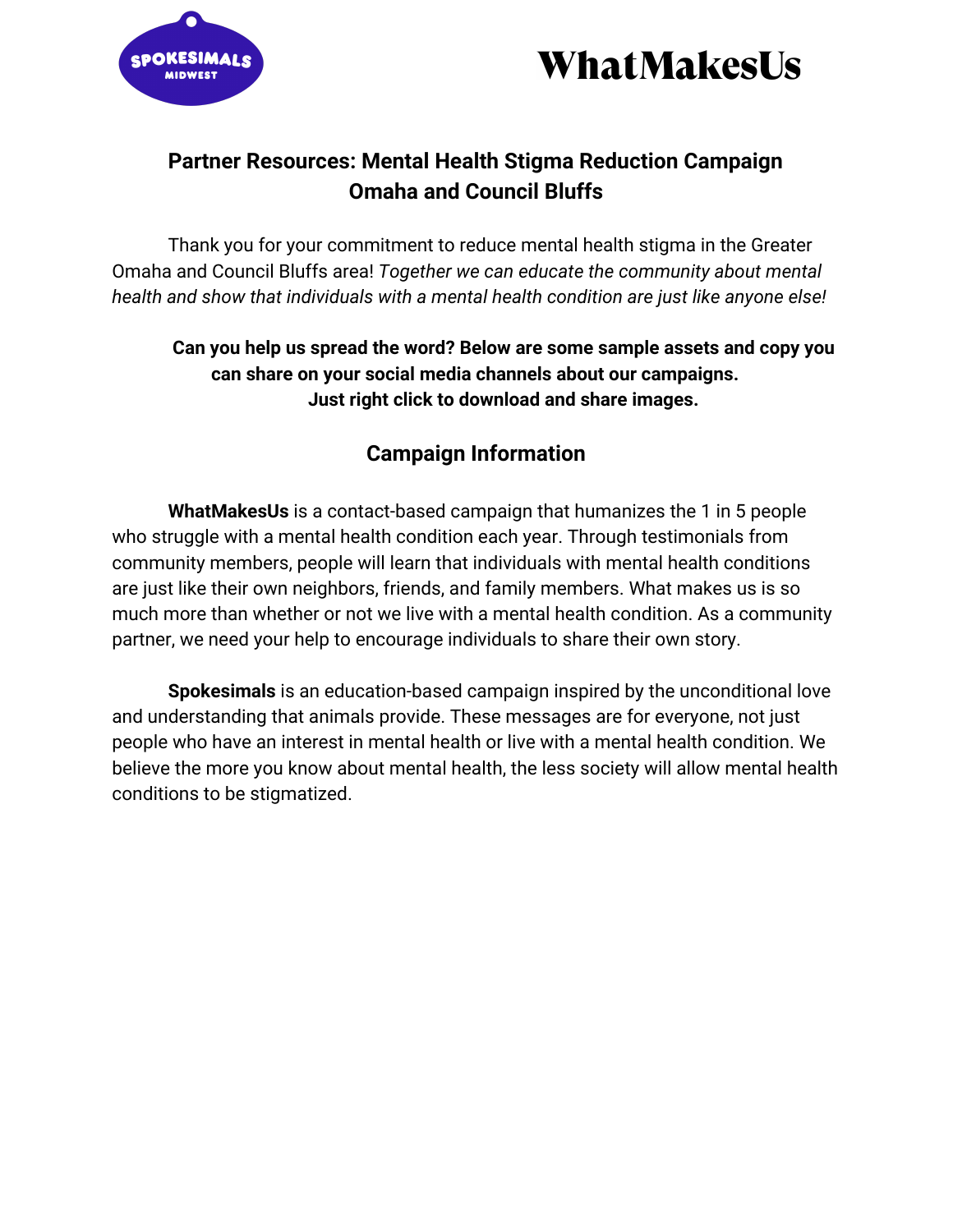



## **Partner Resources: Mental Health Stigma Reduction Campaign Omaha and Council Bluffs**

Thank you for your commitment to reduce mental health stigma in the Greater Omaha and Council Bluffs area! *Together we can educate the community about mental health and show that individuals with a mental health condition are just like anyone else!*

## **Can you help us spread the word? Below are some sample assets and copy you can share on your social media channels about our campaigns. Just right click to download and share images.**

## **Campaign Information**

**WhatMakesUs** is a contact-based campaign that humanizes the 1 in 5 people who struggle with a mental health condition each year. Through testimonials from community members, people will learn that individuals with mental health conditions are just like their own neighbors, friends, and family members. What makes us is so much more than whether or not we live with a mental health condition. As a community partner, we need your help to encourage individuals to share their own story.

**Spokesimals** is an education-based campaign inspired by the unconditional love and understanding that animals provide. These messages are for everyone, not just people who have an interest in mental health or live with a mental health condition. We believe the more you know about mental health, the less society will allow mental health conditions to be stigmatized.